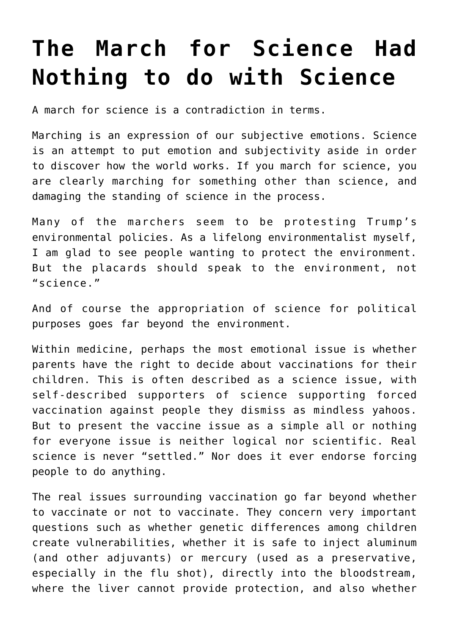## **[The March for Science Had](https://intellectualtakeout.org/2017/04/the-march-for-science-had-nothing-to-do-with-science/) [Nothing to do with Science](https://intellectualtakeout.org/2017/04/the-march-for-science-had-nothing-to-do-with-science/)**

A march for science is a contradiction in terms.

Marching is an expression of our subjective emotions. Science is an attempt to put emotion and subjectivity aside in order to discover how the world works. If you march for science, you are clearly marching for something other than science, and damaging the standing of science in the process.

Many of the marchers seem to be protesting Trump's environmental policies. As a lifelong environmentalist myself, I am glad to see people wanting to protect the environment. But the placards should speak to the environment, not "science."

And of course the appropriation of science for political purposes goes far beyond the environment.

Within medicine, perhaps the most emotional issue is whether parents have the right to decide about vaccinations for their children. This is often described as a science issue, with self-described supporters of science supporting forced vaccination against people they dismiss as mindless yahoos. But to present the vaccine issue as a simple all or nothing for everyone issue is neither logical nor scientific. Real science is never "settled." Nor does it ever endorse forcing people to do anything.

The real issues surrounding vaccination go far beyond whether to vaccinate or not to vaccinate. They concern very important questions such as whether genetic differences among children create vulnerabilities, whether it is safe to inject aluminum (and other adjuvants) or mercury (used as a preservative, especially in the flu shot), directly into the bloodstream, where the liver cannot provide protection, and also whether